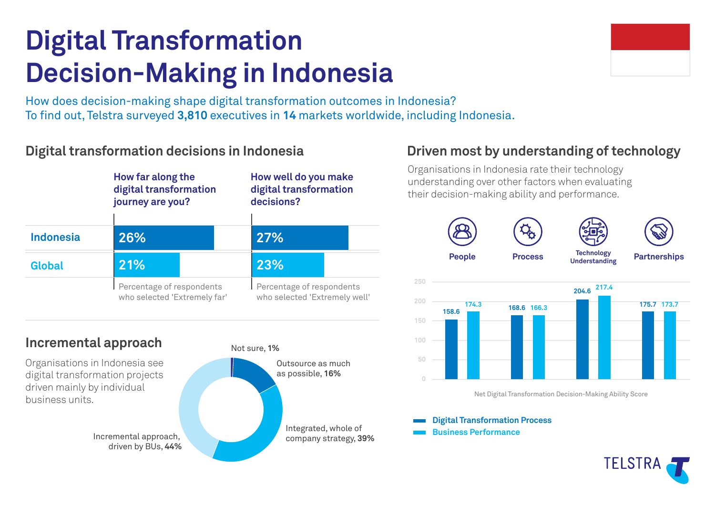# **Digital Transformation Decision-Making in Indonesia**

How does decision-making shape digital transformation outcomes in Indonesia? To find out, Telstra surveyed 3,810 executives in 14 markets worldwide, including Indonesia.

### **Digital transformation decisions in Indonesia**



#### **Incremental approach**

Organisations in Indonesia see digital transformation projects driven mainly by individual business units.

driven by BUs, **44%**





## **Driven most by understanding of technology**

Organisations in Indonesia rate their technology understanding over other factors when evaluating their decision-making ability and performance.



Net Digital Transformation Decision-Making Ability Score

**Digital Transformation Process**

**Business Performance**